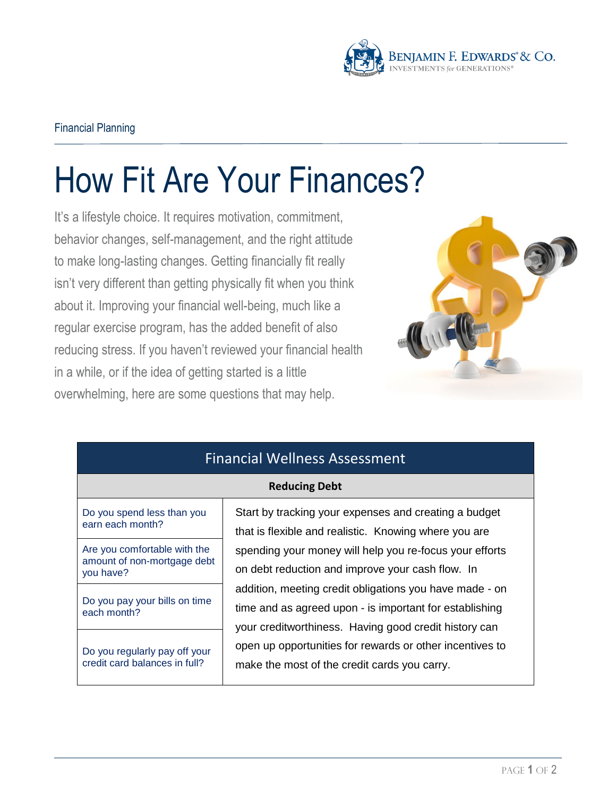

## How Fit Are Your Finances?

It's a lifestyle choice. It requires motivation, commitment, behavior changes, self-management, and the right attitude to make long-lasting changes. Getting financially fit really isn't very different than getting physically fit when you think about it. Improving your financial well-being, much like a regular exercise program, has the added benefit of also reducing stress. If you haven't reviewed your financial health in a while, or if the idea of getting started is a little overwhelming, here are some questions that may help.



| <b>Financial Wellness Assessment</b>                                     |                                                                                                                                                                             |  |
|--------------------------------------------------------------------------|-----------------------------------------------------------------------------------------------------------------------------------------------------------------------------|--|
| <b>Reducing Debt</b>                                                     |                                                                                                                                                                             |  |
| Do you spend less than you<br>earn each month?                           | Start by tracking your expenses and creating a budget<br>that is flexible and realistic. Knowing where you are                                                              |  |
| Are you comfortable with the<br>amount of non-mortgage debt<br>you have? | spending your money will help you re-focus your efforts<br>on debt reduction and improve your cash flow. In                                                                 |  |
| Do you pay your bills on time<br>each month?                             | addition, meeting credit obligations you have made - on<br>time and as agreed upon - is important for establishing<br>your creditworthiness. Having good credit history can |  |
| Do you regularly pay off your<br>credit card balances in full?           | open up opportunities for rewards or other incentives to<br>make the most of the credit cards you carry.                                                                    |  |